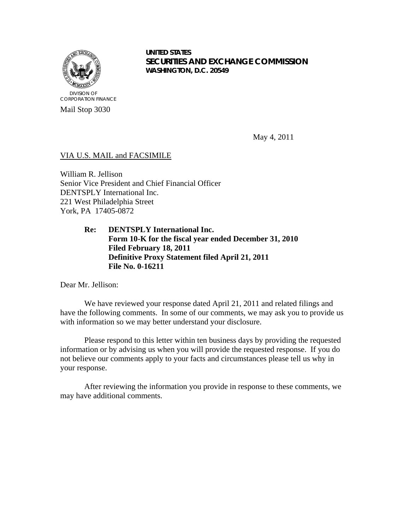

Mail Stop 3030

**UNITED STATES SECURITIES AND EXCHANGE COMMISSION WASHINGTON, D.C. 20549**

May 4, 2011

# VIA U.S. MAIL and FACSIMILE

William R. Jellison Senior Vice President and Chief Financial Officer DENTSPLY International Inc. 221 West Philadelphia Street York, PA 17405-0872

> **Re: DENTSPLY International Inc. Form 10-K for the fiscal year ended December 31, 2010 Filed February 18, 2011 Definitive Proxy Statement filed April 21, 2011 File No. 0-16211**

Dear Mr. Jellison:

We have reviewed your response dated April 21, 2011 and related filings and have the following comments. In some of our comments, we may ask you to provide us with information so we may better understand your disclosure.

Please respond to this letter within ten business days by providing the requested information or by advising us when you will provide the requested response. If you do not believe our comments apply to your facts and circumstances please tell us why in your response.

After reviewing the information you provide in response to these comments, we may have additional comments.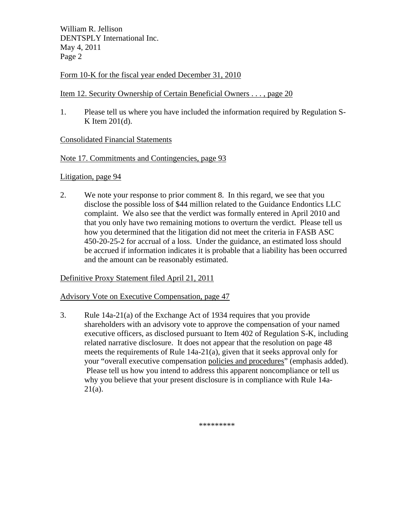William R. Jellison DENTSPLY International Inc. May 4, 2011 Page 2

# Form 10-K for the fiscal year ended December 31, 2010

## Item 12. Security Ownership of Certain Beneficial Owners . . . , page 20

1. Please tell us where you have included the information required by Regulation S-K Item 201(d).

# Consolidated Financial Statements

#### Note 17. Commitments and Contingencies, page 93

#### Litigation, page 94

2. We note your response to prior comment 8. In this regard, we see that you disclose the possible loss of \$44 million related to the Guidance Endontics LLC complaint. We also see that the verdict was formally entered in April 2010 and that you only have two remaining motions to overturn the verdict. Please tell us how you determined that the litigation did not meet the criteria in FASB ASC 450-20-25-2 for accrual of a loss. Under the guidance, an estimated loss should be accrued if information indicates it is probable that a liability has been occurred and the amount can be reasonably estimated.

## Definitive Proxy Statement filed April 21, 2011

## Advisory Vote on Executive Compensation, page 47

3. Rule 14a-21(a) of the Exchange Act of 1934 requires that you provide shareholders with an advisory vote to approve the compensation of your named executive officers, as disclosed pursuant to Item 402 of Regulation S-K, including related narrative disclosure. It does not appear that the resolution on page 48 meets the requirements of Rule  $14a-21(a)$ , given that it seeks approval only for your "overall executive compensation policies and procedures" (emphasis added). Please tell us how you intend to address this apparent noncompliance or tell us why you believe that your present disclosure is in compliance with Rule 14a-21(a).

\*\*\*\*\*\*\*\*\*